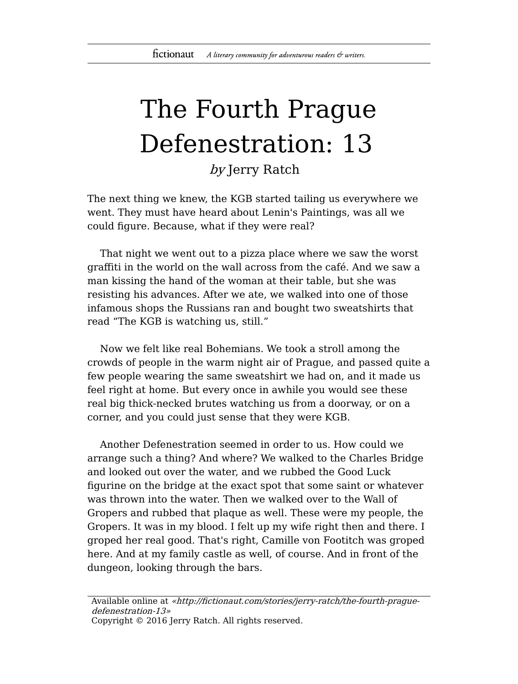## The Fourth Prague Defenestration: 13

by Jerry Ratch

The next thing we knew, the KGB started tailing us everywhere we went. They must have heard about Lenin's Paintings, was all we could figure. Because, what if they were real?

That night we went out to a pizza place where we saw the worst graffiti in the world on the wall across from the café. And we saw a man kissing the hand of the woman at their table, but she was resisting his advances. After we ate, we walked into one of those infamous shops the Russians ran and bought two sweatshirts that read "The KGB is watching us, still."

Now we felt like real Bohemians. We took a stroll among the crowds of people in the warm night air of Prague, and passed quite a few people wearing the same sweatshirt we had on, and it made us feel right at home. But every once in awhile you would see these real big thick-necked brutes watching us from a doorway, or on a corner, and you could just sense that they were KGB.

Another Defenestration seemed in order to us. How could we arrange such a thing? And where? We walked to the Charles Bridge and looked out over the water, and we rubbed the Good Luck figurine on the bridge at the exact spot that some saint or whatever was thrown into the water. Then we walked over to the Wall of Gropers and rubbed that plaque as well. These were my people, the Gropers. It was in my blood. I felt up my wife right then and there. I groped her real good. That's right, Camille von Footitch was groped here. And at my family castle as well, of course. And in front of the dungeon, looking through the bars.